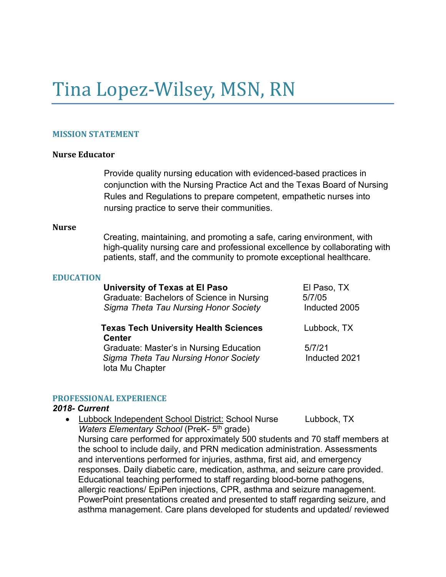# Tina Lopez-Wilsey, MSN, RN

#### **MISSION STATEMENT**

#### **Nurse Educator**

Provide quality nursing education with evidenced-based practices in conjunction with the Nursing Practice Act and the Texas Board of Nursing Rules and Regulations to prepare competent, empathetic nurses into nursing practice to serve their communities.

#### **Nurse**

Creating, maintaining, and promoting a safe, caring environment, with high-quality nursing care and professional excellence by collaborating with patients, staff, and the community to promote exceptional healthcare.

#### **EDUCATION**

| University of Texas at El Paso               | El Paso, TX   |
|----------------------------------------------|---------------|
| Graduate: Bachelors of Science in Nursing    | 5/7/05        |
| Sigma Theta Tau Nursing Honor Society        | Inducted 2005 |
| <b>Texas Tech University Health Sciences</b> | Lubbock, TX   |
| <b>Center</b>                                |               |
| Graduate: Master's in Nursing Education      | 5/7/21        |
| Sigma Theta Tau Nursing Honor Society        | Inducted 2021 |

#### **PROFESSIONAL EXPERIENCE**

lota Mu Chapter

#### *2018- Current*

• Lubbock Independent School District: School Nurse Lubbock, TX *Waters Elementary School* (PreK- 5<sup>th</sup> grade) Nursing care performed for approximately 500 students and 70 staff members at the school to include daily, and PRN medication administration. Assessments and interventions performed for injuries, asthma, first aid, and emergency responses. Daily diabetic care, medication, asthma, and seizure care provided. Educational teaching performed to staff regarding blood-borne pathogens, allergic reactions/ EpiPen injections, CPR, asthma and seizure management. PowerPoint presentations created and presented to staff regarding seizure, and asthma management. Care plans developed for students and updated/ reviewed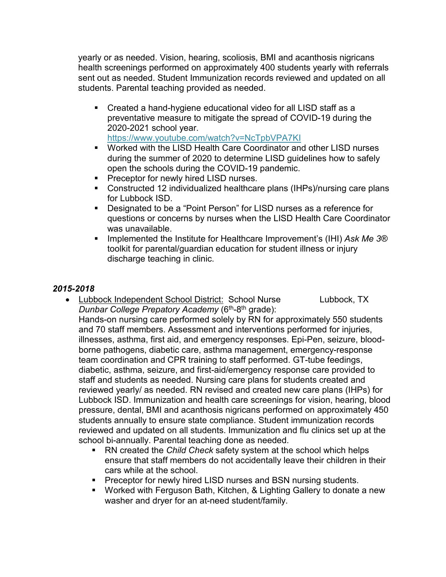yearly or as needed. Vision, hearing, scoliosis, BMI and acanthosis nigricans health screenings performed on approximately 400 students yearly with referrals sent out as needed. Student Immunization records reviewed and updated on all students. Parental teaching provided as needed.

- Created a hand-hygiene educational video for all LISD staff as a preventative measure to mitigate the spread of COVID-19 during the 2020-2021 school year. <https://www.youtube.com/watch?v=NcTpbVPA7KI>
- Worked with the LISD Health Care Coordinator and other LISD nurses during the summer of 2020 to determine LISD guidelines how to safely open the schools during the COVID-19 pandemic.
- **Preceptor for newly hired LISD nurses.**
- Constructed 12 individualized healthcare plans (IHPs)/nursing care plans for Lubbock ISD.
- Designated to be a "Point Person" for LISD nurses as a reference for questions or concerns by nurses when the LISD Health Care Coordinator was unavailable.
- Implemented the Institute for Healthcare Improvement's (IHI) Ask Me 3<sup>®</sup> toolkit for parental/guardian education for student illness or injury discharge teaching in clinic.

# *2015-2018*

- Lubbock Independent School District: School Nurse Lubbock, TX *Dunbar College Prepatory Academy* (6<sup>th</sup>-8<sup>th</sup> grade): Hands-on nursing care performed solely by RN for approximately 550 students and 70 staff members. Assessment and interventions performed for injuries, illnesses, asthma, first aid, and emergency responses. Epi-Pen, seizure, bloodborne pathogens, diabetic care, asthma management, emergency-response team coordination and CPR training to staff performed. GT-tube feedings, diabetic, asthma, seizure, and first-aid/emergency response care provided to staff and students as needed. Nursing care plans for students created and reviewed yearly/ as needed. RN revised and created new care plans (IHPs) for Lubbock ISD. Immunization and health care screenings for vision, hearing, blood pressure, dental, BMI and acanthosis nigricans performed on approximately 450 students annually to ensure state compliance. Student immunization records reviewed and updated on all students. Immunization and flu clinics set up at the school bi-annually. Parental teaching done as needed.
	- RN created the *Child Check* safety system at the school which helps ensure that staff members do not accidentally leave their children in their cars while at the school.
	- **Preceptor for newly hired LISD nurses and BSN nursing students.**
	- Worked with Ferguson Bath, Kitchen, & Lighting Gallery to donate a new washer and dryer for an at-need student/family.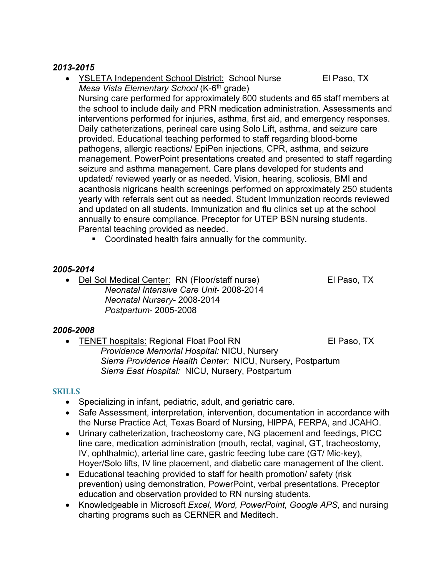### *2013-2015*

- YSLETA Independent School District: School Nurse El Paso, TX *Mesa Vista Elementary School* (K-6th grade) Nursing care performed for approximately 600 students and 65 staff members at the school to include daily and PRN medication administration. Assessments and interventions performed for injuries, asthma, first aid, and emergency responses. Daily catheterizations, perineal care using Solo Lift, asthma, and seizure care provided. Educational teaching performed to staff regarding blood-borne pathogens, allergic reactions/ EpiPen injections, CPR, asthma, and seizure management. PowerPoint presentations created and presented to staff regarding seizure and asthma management. Care plans developed for students and updated/ reviewed yearly or as needed. Vision, hearing, scoliosis, BMI and acanthosis nigricans health screenings performed on approximately 250 students yearly with referrals sent out as needed. Student Immunization records reviewed and updated on all students. Immunization and flu clinics set up at the school annually to ensure compliance. Preceptor for UTEP BSN nursing students. Parental teaching provided as needed.
	- Coordinated health fairs annually for the community.

# *2005-2014*

• Del Sol Medical Center: RN (Floor/staff nurse) El Paso, TX *Neonatal Intensive Care Unit*- 2008-2014 *Neonatal Nursery*- 2008-2014 *Postpartum*- 2005-2008

#### *2006-2008*

FENET hospitals: Regional Float Pool RN El Paso, TX *Providence Memorial Hospital:* NICU, Nursery  *Sierra Providence Health Center:* NICU, Nursery, Postpartum  *Sierra East Hospital:* NICU, Nursery, Postpartum

#### **SKILLS**

- Specializing in infant, pediatric, adult, and geriatric care.
- Safe Assessment, interpretation, intervention, documentation in accordance with the Nurse Practice Act, Texas Board of Nursing, HIPPA, FERPA, and JCAHO.
- Urinary catheterization, tracheostomy care, NG placement and feedings, PICC line care, medication administration (mouth, rectal, vaginal, GT, tracheostomy, IV, ophthalmic), arterial line care, gastric feeding tube care (GT/ Mic-key), Hoyer/Solo lifts, IV line placement, and diabetic care management of the client.
- Educational teaching provided to staff for health promotion/ safety (risk prevention) using demonstration, PowerPoint, verbal presentations. Preceptor education and observation provided to RN nursing students.
- Knowledgeable in Microsoft *Excel, Word, PowerPoint, Google APS,* and nursing charting programs such as CERNER and Meditech.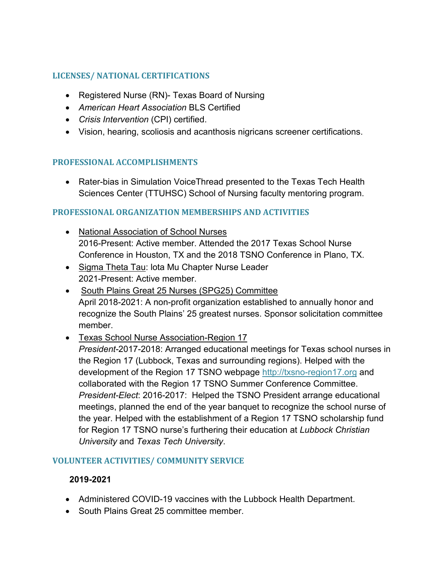# **LICENSES/ NATIONAL CERTIFICATIONS**

- Registered Nurse (RN)- Texas Board of Nursing
- *American Heart Association* BLS Certified
- *Crisis Intervention* (CPI) certified.
- Vision, hearing, scoliosis and acanthosis nigricans screener certifications.

# **PROFESSIONAL ACCOMPLISHMENTS**

• Rater-bias in Simulation VoiceThread presented to the Texas Tech Health Sciences Center (TTUHSC) School of Nursing faculty mentoring program.

# **PROFESSIONAL ORGANIZATION MEMBERSHIPS AND ACTIVITIES**

- National Association of School Nurses 2016-Present: Active member. Attended the 2017 Texas School Nurse Conference in Houston, TX and the 2018 TSNO Conference in Plano, TX.
- Sigma Theta Tau: lota Mu Chapter Nurse Leader 2021-Present: Active member.
- South Plains Great 25 Nurses (SPG25) Committee April 2018-2021: A non-profit organization established to annually honor and recognize the South Plains' 25 greatest nurses. Sponsor solicitation committee member.

# • Texas School Nurse Association-Region 17

*President-*2017-2018: Arranged educational meetings for Texas school nurses in the Region 17 (Lubbock, Texas and surrounding regions). Helped with the development of the Region 17 TSNO webpage [http://txsno-region17.org](http://txsno-region17.org/) and collaborated with the Region 17 TSNO Summer Conference Committee. *President-Elect*: 2016-2017: Helped the TSNO President arrange educational meetings, planned the end of the year banquet to recognize the school nurse of the year. Helped with the establishment of a Region 17 TSNO scholarship fund for Region 17 TSNO nurse's furthering their education at *Lubbock Christian University* and *Texas Tech University*.

# **VOLUNTEER ACTIVITIES/ COMMUNITY SERVICE**

# **2019-2021**

- Administered COVID-19 vaccines with the Lubbock Health Department.
- South Plains Great 25 committee member.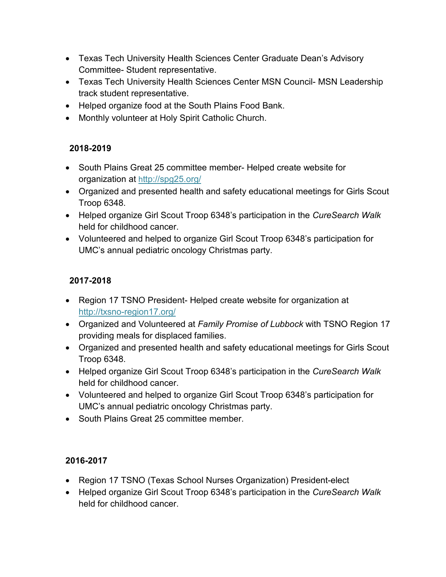- Texas Tech University Health Sciences Center Graduate Dean's Advisory Committee- Student representative.
- Texas Tech University Health Sciences Center MSN Council- MSN Leadership track student representative.
- Helped organize food at the South Plains Food Bank.
- Monthly volunteer at Holy Spirit Catholic Church.

# **2018-2019**

- South Plains Great 25 committee member- Helped create website for organization at<http://spg25.org/>
- Organized and presented health and safety educational meetings for Girls Scout Troop 6348.
- Helped organize Girl Scout Troop 6348's participation in the *CureSearch Walk*  held for childhood cancer.
- Volunteered and helped to organize Girl Scout Troop 6348's participation for UMC's annual pediatric oncology Christmas party.

# **2017-2018**

- Region 17 TSNO President- Helped create website for organization at <http://txsno-region17.org/>
- Organized and Volunteered at *Family Promise of Lubbock* with TSNO Region 17 providing meals for displaced families.
- Organized and presented health and safety educational meetings for Girls Scout Troop 6348.
- Helped organize Girl Scout Troop 6348's participation in the *CureSearch Walk*  held for childhood cancer.
- Volunteered and helped to organize Girl Scout Troop 6348's participation for UMC's annual pediatric oncology Christmas party.
- South Plains Great 25 committee member.

# **2016-2017**

- Region 17 TSNO (Texas School Nurses Organization) President-elect
- Helped organize Girl Scout Troop 6348's participation in the *CureSearch Walk*  held for childhood cancer.